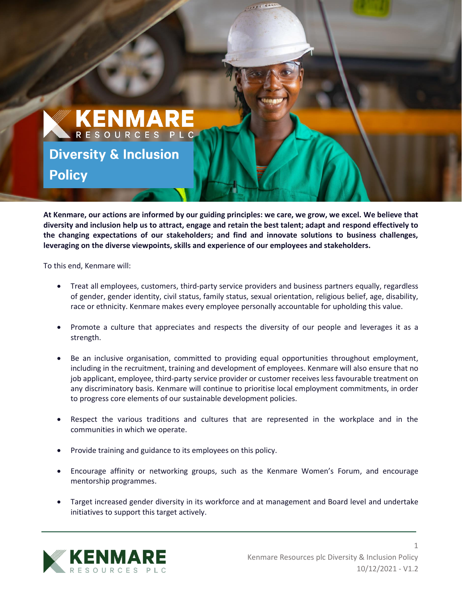

**At Kenmare, our actions are informed by our guiding principles: we care, we grow, we excel. We believe that diversity and inclusion help us to attract, engage and retain the best talent; adapt and respond effectively to the changing expectations of our stakeholders; and find and innovate solutions to business challenges, leveraging on the diverse viewpoints, skills and experience of our employees and stakeholders.**

To this end, Kenmare will:

- Treat all employees, customers, third-party service providers and business partners equally, regardless of gender, gender identity, civil status, family status, sexual orientation, religious belief, age, disability, race or ethnicity. Kenmare makes every employee personally accountable for upholding this value.
- Promote a culture that appreciates and respects the diversity of our people and leverages it as a strength.
- Be an inclusive organisation, committed to providing equal opportunities throughout employment, including in the recruitment, training and development of employees. Kenmare will also ensure that no job applicant, employee, third-party service provider or customer receives less favourable treatment on any discriminatory basis. Kenmare will continue to prioritise local employment commitments, in order to progress core elements of our sustainable development policies.
- Respect the various traditions and cultures that are represented in the workplace and in the communities in which we operate.
- Provide training and guidance to its employees on this policy.
- Encourage affinity or networking groups, such as the Kenmare Women's Forum, and encourage mentorship programmes.
- Target increased gender diversity in its workforce and at management and Board level and undertake initiatives to support this target actively.



1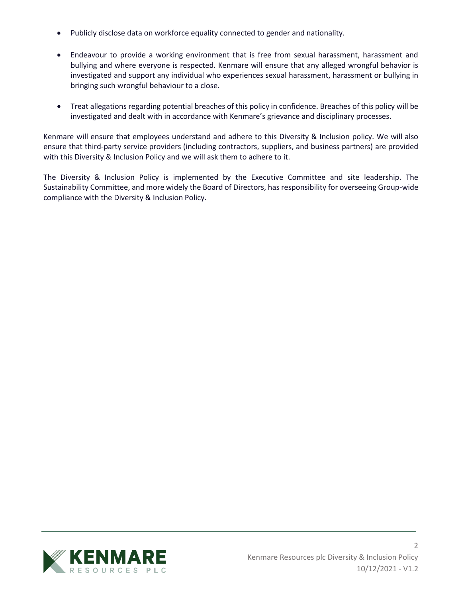- Publicly disclose data on workforce equality connected to gender and nationality.
- Endeavour to provide a working environment that is free from sexual harassment, harassment and bullying and where everyone is respected. Kenmare will ensure that any alleged wrongful behavior is investigated and support any individual who experiences sexual harassment, harassment or bullying in bringing such wrongful behaviour to a close.
- Treat allegations regarding potential breaches of this policy in confidence. Breaches of this policy will be investigated and dealt with in accordance with Kenmare's grievance and disciplinary processes.

Kenmare will ensure that employees understand and adhere to this Diversity & Inclusion policy. We will also ensure that third-party service providers (including contractors, suppliers, and business partners) are provided with this Diversity & Inclusion Policy and we will ask them to adhere to it.

The Diversity & Inclusion Policy is implemented by the Executive Committee and site leadership. The Sustainability Committee, and more widely the Board of Directors, has responsibility for overseeing Group-wide compliance with the Diversity & Inclusion Policy.

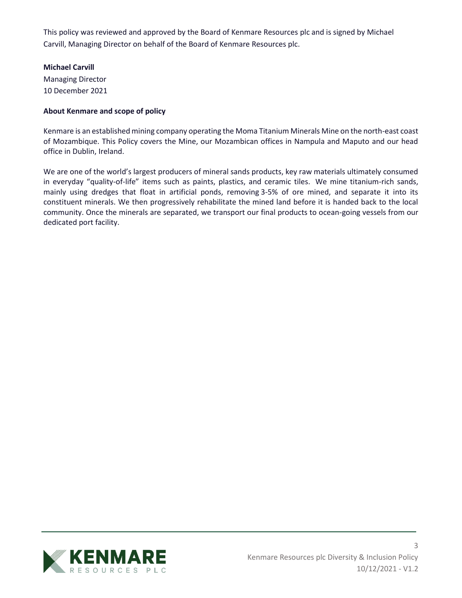This policy was reviewed and approved by the Board of Kenmare Resources plc and is signed by Michael Carvill, Managing Director on behalf of the Board of Kenmare Resources plc.

## **Michael Carvill**

Managing Director 10 December 2021

## **About Kenmare and scope of policy**

Kenmare is an established mining company operating the Moma Titanium Minerals Mine on the north-east coast of Mozambique. This Policy covers the Mine, our Mozambican offices in Nampula and Maputo and our head office in Dublin, Ireland.

We are one of the world's largest producers of mineral sands products, key raw materials ultimately consumed in everyday "quality-of-life" items such as paints, plastics, and ceramic tiles. We mine titanium-rich sands, mainly using dredges that float in artificial ponds, removing 3-5% of ore mined, and separate it into its constituent minerals. We then progressively rehabilitate the mined land before it is handed back to the local community. Once the minerals are separated, we transport our final products to ocean-going vessels from our dedicated port facility.